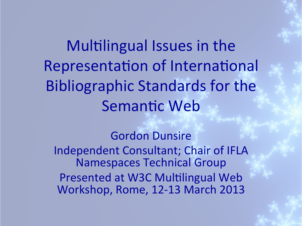Multilingual Issues in the Representation of International Bibliographic Standards for the Semantic Web

## **Gordon Dunsire**

Independent Consultant; Chair of IFLA **Namespaces Technical Group** Presented at W3C Multilingual Web Workshop, Rome, 12-13 March 2013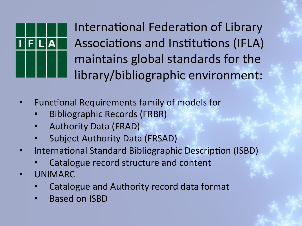

International Federation of Library Associations and Institutions (IFLA) maintains global standards for the library/bibliographic environment:

- Functional Requirements family of models for
	- Bibliographic Records (FRBR)
	- Authority Data (FRAD)
	- Subject Authority Data (FRSAD)
- International Standard Bibliographic Description (ISBD)
	- Catalogue record structure and content
- UNIMARC
	- Catalogue and Authority record data format
	- Based on ISBD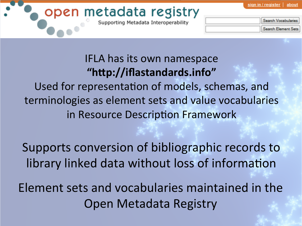about sian in / reaistei

## open metadata registry

Supporting Metadata Interoperability

| earch Vocabularies |
|--------------------|
| earch Element Sets |

## IFLA has its own namespace **"h#p://iflastandards.info"**

Used for representation of models, schemas, and terminologies as element sets and value vocabularies in Resource Description Framework

Supports conversion of bibliographic records to library linked data without loss of information

Element sets and vocabularies maintained in the Open Metadata Registry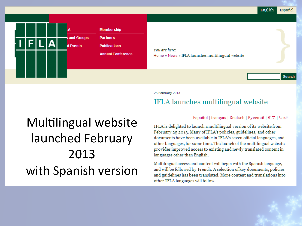English Español



#### 25 February 2013

### **IFLA** launches multilingual website

#### Español | français | Deutsch | Русский | 中文 | العربية | Spañol | français | Deutsch | Русский

Multilingual website launched February 2013 with Spanish version

IFLA is delighted to launch a multilingual version of its website from February 25 2013. Many of IFLA's policies, guidelines, and other documents have been available in IFLA's seven official languages, and other languages, for some time. The launch of the multilingual website provides improved access to existing and newly translated content in languages other than English.

Multilingual access and content will begin with the Spanish language, and will be followed by French. A selection of key documents, policies and guidelines has been translated. More content and translations into other IFLA languages will follow.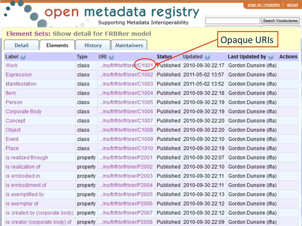# **open metadata registry**

**Maintainers** 

Search Vocabularies

#### **Element Sets: Show detail for FRBRer model**

History

**Elements** 

Detail

|  | Opaque URIs |  |  |  |  |  |  |  |
|--|-------------|--|--|--|--|--|--|--|
|--|-------------|--|--|--|--|--|--|--|

| Label $\odot$                  | <b>Type</b> | URI (e)                                 | <b>Status</b> | Updated (e)                | Last Updated by @                                | <b>Actions</b> |
|--------------------------------|-------------|-----------------------------------------|---------------|----------------------------|--------------------------------------------------|----------------|
| Work                           | class       | /ns/fr/frbr/frbre <mark>r</mark> /C1001 |               | Published 2010-09-30 22:17 | Gordon Dunsire (ifla)                            |                |
| Expression                     | class       | /ns/fr/frbr/frbrer/C1002                |               | Published 2011-05-02 13:57 | Gordon Dunsire (ifla)                            |                |
| Manifestation                  | class       | /ns/fr/frbr/frbrer/C1003                |               | Published 2011-05-02 13:52 | Gordon Dunsire (ifla)                            |                |
| Item                           | class       | /ns/fr/frbr/frbrer/C1004                |               | Published 2010-09-30 22:18 | Gordon Dunsire (ifla)                            |                |
| Person                         | class       | /ns/fr/frbr/frbrer/C1005                |               |                            | Published 2010-09-30 22:19 Gordon Dunsire (ifla) |                |
| Corporate Body                 | class       | /ns/fr/frbr/frbrer/C1006                |               |                            | Published 2010-09-30 22:19 Gordon Dunsire (ifla) |                |
| Concept                        | class       | /ns/fr/frbr/frbrer/C1007                |               |                            | Published 2010-09-30 22:20 Gordon Dunsire (ifla) |                |
| Object                         | class       | /ns/fr/frbr/frbrer/C1008                |               |                            | Published 2010-09-30 22:20 Gordon Dunsire (ifla) |                |
| Event                          | class       | /ns/fr/frbr/frbrer/C1009                |               |                            | Published 2010-09-30 22:10 Gordon Dunsire (ifla) |                |
| Place                          | class       | /ns/fr/frbr/frbrer/C1010                |               |                            | Published 2010-09-30 22:19 Gordon Dunsire (ifla) |                |
| is realized through            | property    | /ns/fr/frbr/frbrer/P2001                |               |                            | Published 2010-09-30 22:07 Gordon Dunsire (ifla) |                |
| is realization of              | property    | /ns/fr/frbr/frbrer/P2002                |               |                            | Published 2010-09-30 22:10 Gordon Dunsire (ifla) |                |
| is embodied in                 | property    | /ns/fr/frbr/frbrer/P2003                |               |                            | Published 2010-09-30 22:11 Gordon Dunsire (ifla) |                |
| is embodiment of               | property    | /ns/fr/frbr/frbrer/P2004                |               |                            | Published 2010-09-30 22:11 Gordon Dunsire (ifla) |                |
| is exemplified by              | property    | /ns/fr/frbr/frbrer/P2005                |               |                            | Published 2010-09-30 22:13 Gordon Dunsire (ifla) |                |
| is exemplar of                 | property    | /ns/fr/frbr/frbrer/P2006                |               |                            | Published 2010-09-30 22:12 Gordon Dunsire (ifla) |                |
| is created by (corporate body) | property    | /ns/fr/frbr/frbrer/P2007                |               |                            | Published 2010-09-30 22:12 Gordon Dunsire (ifla) |                |
| is creator (corporate body) of |             | property   /ns/fr/frbr/frbrer/P2008     |               |                            | Published 2010-09-30 22:09 Gordon Dunsire (ifla) |                |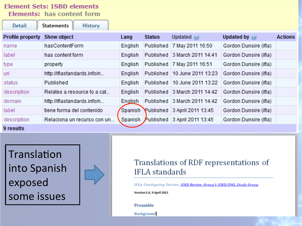#### **Element Sets: ISBD elements** Elements: has content form

| Detail                  | <b>Statements</b><br>History |         |               |                                      |                       |                |
|-------------------------|------------------------------|---------|---------------|--------------------------------------|-----------------------|----------------|
| <b>Profile property</b> | <b>Show object</b>           | Lang    | <b>Status</b> | Updated $\odot$                      | Updated by $\odot$    | <b>Actions</b> |
| name                    | hasContentForm               | English | Published     | 7 May 2011 16:50                     | Gordon Dunsire (ifla) |                |
| label                   | has content form             | English |               | Published 3 March 2011 14:41         | Gordon Dunsire (ifla) |                |
| type                    | property                     | English |               | Published   7 May 2011 16:51         | Gordon Dunsire (ifla) |                |
| uri                     | http://iflastandards.info/n  | English | Published     | 10 June 2011 13:23                   | Gordon Dunsire (ifla) |                |
| status                  | Published                    | English | Published     | 10 June 2011 13:22                   | Gordon Dunsire (ifla) |                |
| description             | Relates a resource to a cat  | English |               | Published 3 March 2011 14:42         | Gordon Dunsire (ifla) |                |
| domain                  | http://iflastandards.info/n  | English |               | Published 3 March 2011 14:42         | Gordon Dunsire (ifla) |                |
| label                   | tiene forma del contenido    | Spanish |               | Published 3 April 2011 13:45         | Gordon Dunsire (ifla) |                |
| description             | Relaciona un recurso con un  |         |               | Spanish Published 3 April 2011 13:45 | Gordon Dunsire (ifla) |                |
| 9 results               |                              |         |               |                                      |                       |                |

Translation into Spanish exposed some issues



### Translations of RDF representations of **IFLA** standards

IFLA Cataloguing Section, ISBD Review Group's ISBD/XML Study Group

Version 1.0, 9 April 2012

Preamble

Background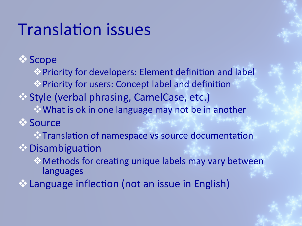## **Translation issues**

*<b>V* Scope

 $\otimes$  Priority for developers: Element definition and label  $\otimes$  Priority for users: Concept label and definition **Example (verbal phrasing, CamelCase, etc.)**  $\triangle$  What is ok in one language may not be in another *<b>V* Source  $\cdot$  Translation of namespace vs source documentation  $\triangle$  Disambiguation  $\Diamond$  Methods for creating unique labels may vary between

languages 

 $\cdot$  Language inflection (not an issue in English)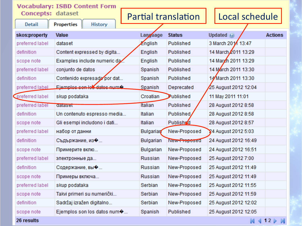| <b>Vocabulary: ISBD Content Form</b> |                              |                  |                            |                      |                |  |  |
|--------------------------------------|------------------------------|------------------|----------------------------|----------------------|----------------|--|--|
| <b>Concepts: dataset</b>             |                              |                  | <b>Partial translation</b> | Local schedule       |                |  |  |
| <b>Detail</b>                        | History<br><b>Properties</b> |                  |                            |                      |                |  |  |
| skos:property                        | Value                        | Language         | <b>Status</b>              | Updated (e)          | <b>Actions</b> |  |  |
| preferred label                      | dataset                      | English          | Published                  | 3 March 2011 13:47   |                |  |  |
| definition                           | Content expressed by digita  | English          | Published                  | 14 March 2011 13:29  |                |  |  |
| scope note                           | Examples include numeric da  | English          | Published                  | 14 March 2011 13:29  |                |  |  |
| preferred label                      | conjunto de datos            | Spanish          | Published                  | 14 March 2011 13:30  |                |  |  |
| definition                           | Contenido expresado por dat  | Spanish          | Published                  | 14 March 2011 13:30  |                |  |  |
| preferred label                      | Fiemples sen les dates numé  | Spanish          | Deprecated                 | 25 August 2012 12:04 |                |  |  |
| preferred label                      | skup podataka                | Croatian         | Published                  | 11 May 2011 11:01    |                |  |  |
| preferred label                      | dataser                      | Italian          | Published                  | 28 August 2012 8:58  |                |  |  |
| definition                           | Un contenuto espresso media  | Italian          | <b>Published</b>           | 28 August 2012 8:58  |                |  |  |
| scope note                           | Gli esempi includono i dati  | Italian          | <b>Published</b>           | 28 August 2012 8:57  |                |  |  |
| preferred label                      | набор от данни               | <b>Bulgarian</b> | New-Proposed               | 24 August 2012 5:03  |                |  |  |
| definition                           | Съдържание, из�              | Bulgarian        | New-Proposed               | 24 August 2012 16:49 |                |  |  |
| scope note                           | Примерите вклю               | Bulgarian        | New-Proposed               | 24 August 2012 16:51 |                |  |  |
| preferred label                      | электронные да               | Russian          | New-Proposed               | 25 August 2012 7:00  |                |  |  |
| definition                           | Содержание, вы •             | Russian          | New-Proposed               | 25 August 2012 11:49 |                |  |  |
| scope note                           | Примеры включа               | Russian          | New-Proposed               | 25 August 2012 11:49 |                |  |  |
| preferred label                      | skup podataka                | Serbian          | New-Proposed               | 25 August 2012 11:55 |                |  |  |
| scope note                           | Takvi primeri su numerički   | Serbian          | New-Proposed               | 25 August 2012 11:59 |                |  |  |
| definition                           | Sadržaj izražen digitalno    | Serbian          | New-Proposed               | 25 August 2012 12:02 |                |  |  |
| scope note                           | Ejemplos son los datos num�  | Spanish          | Published                  | 25 August 2012 12:05 |                |  |  |
|                                      |                              |                  |                            |                      |                |  |  |

26 results

 $\mathbb{N}$  4 12  $\mathbb{N}$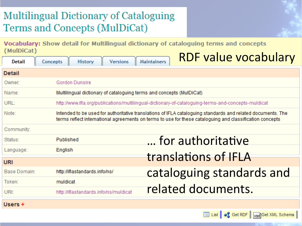### **Multilingual Dictionary of Cataloguing** Terms and Concepts (MulDiCat)

Vocabulary: Show detail for Multilingual dictionary of cataloguing terms and concepts (MulDiCat) DD $\Gamma$ 

| <b>Detail</b> | <b>History</b><br>Concepts<br><b>Versions</b>                        | <u>KDF value vocabulary</u><br>Maintainers                                                                                                                                                                              |
|---------------|----------------------------------------------------------------------|-------------------------------------------------------------------------------------------------------------------------------------------------------------------------------------------------------------------------|
| <b>Detail</b> |                                                                      |                                                                                                                                                                                                                         |
| Owner:        | <b>Gordon Dunsire</b>                                                |                                                                                                                                                                                                                         |
| Name:         | Multilingual dictionary of cataloguing terms and concepts (MulDiCat) |                                                                                                                                                                                                                         |
| URL:          |                                                                      | http://www.ifla.org/publications/multilingual-dictionary-of-cataloguing-terms-and-concepts-muldicat                                                                                                                     |
| Note:         |                                                                      | Intended to be used for authoritative translations of IFLA cataloguing standards and related documents. The<br>terms reflect international agreements on terms to use for these cataloguing and classification concepts |
| Community:    |                                                                      |                                                                                                                                                                                                                         |
| Status:       | Published                                                            | for authoritative                                                                                                                                                                                                       |
| Language:     | English                                                              |                                                                                                                                                                                                                         |
| <b>URI</b>    |                                                                      | translations of IFLA                                                                                                                                                                                                    |
| Base Domain:  | http://iflastandards.info/ns/                                        | cataloguing standards and                                                                                                                                                                                               |
| Token:        | muldicat                                                             |                                                                                                                                                                                                                         |
| URI:          | http://iflastandards.info/ns/muldicat                                | related documents.                                                                                                                                                                                                      |
| Heore +       |                                                                      |                                                                                                                                                                                                                         |

List of Get RDF | xsd Get XML Schema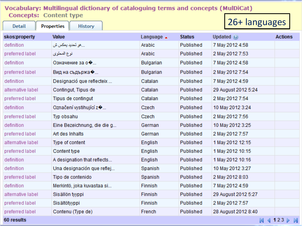#### Vocabulary: Multilingual dictionary of cataloguing terms and concepts (MulDiCat) **Concepts: Content type**

| 26+ languages<br>Properties<br><b>Detail</b><br>History |                             |                      |               |                     |                |  |  |  |
|---------------------------------------------------------|-----------------------------|----------------------|---------------|---------------------|----------------|--|--|--|
| skos:property                                           | Value                       | Language $\triangle$ | <b>Status</b> | Updated $\odot$     | <b>Actions</b> |  |  |  |
| definition                                              | هو تحديد يعكس ش             | Arabic               | Published     | 7 May 2012 4:58     |                |  |  |  |
| preferred label                                         | نوع المحتوى                 | Arabic               | Published     | 2 May 2012 7:53     |                |  |  |  |
| definition                                              | Означение за о�             | Bulgarian            | Published     | 7 May 2012 4:58     |                |  |  |  |
| preferred label                                         | Вид на съдържа�             | Bulgarian            | Published     | 2 May 2012 7:54     |                |  |  |  |
| definition                                              | Designació que reflecteix   | Catalan              | Published     | 7 May 2012 4:59     |                |  |  |  |
| alternative label                                       | Contingut, Tipus de         | Catalan              | Published     | 29 August 2012 5:24 |                |  |  |  |
| preferred label                                         | Tipus de contingut          | Catalan              | Published     | 2 May 2012 7:54     |                |  |  |  |
| definition                                              | Označení vystihující z�     | Czech                | Published     | 10 May 2012 3:24    |                |  |  |  |
| preferred label                                         | Typ obsahu                  | Czech                | Published     | 2 May 2012 7:56     |                |  |  |  |
| definition                                              | Eine Bezeichnung, die die g | German               | Published     | 10 May 2012 3:25    |                |  |  |  |
| preferred label                                         | Art des Inhalts             | German               | Published     | 2 May 2012 7:57     |                |  |  |  |
| alternative label                                       | Type of content             | English              | Published     | 1 May 2012 12:15    |                |  |  |  |
| preferred label                                         | Content type                | English              | Published     | 1 May 2012 10:15    |                |  |  |  |
| definition                                              | A designation that reflects | English              | Published     | 1 May 2012 10:16    |                |  |  |  |
| definition                                              | Una designación que reflej  | Spanish              | Published     | 10 May 2012 3:27    |                |  |  |  |
| preferred label                                         | Tipo de contenido           | Spanish              | Published     | 2 May 2012 8:03     |                |  |  |  |
| definition                                              | Merkintö, joka kuvastaa si  | Finnish              | Published     | 7 May 2012 4:59     |                |  |  |  |
| alternative label                                       | Sisällön tyyppi             | <b>Finnish</b>       | Published     | 29 August 2012 5:27 |                |  |  |  |

Finnish

French

Published

Published

2 May 2012 7:57

28 August 2012 8:40

60 results

preferred label

preferred label

Sisältötyyppi

Contenu (Type de)